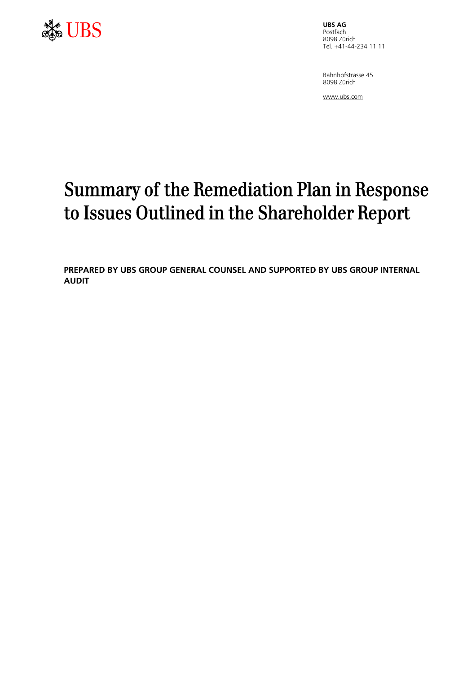

Postfach 8098 Zürich Tel. +41-44-234 11 11

Bahnhofstrasse 45 8098 Zürich

www.ubs.com

# Summary of the Remediation Plan in Response to Issues Outlined in the Shareholder Report

**PREPARED BY UBS GROUP GENERAL COUNSEL AND SUPPORTED BY UBS GROUP INTERNAL AUDIT**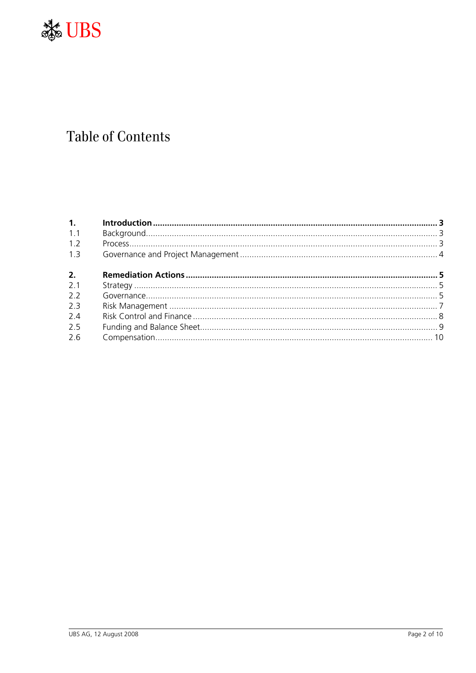

# **Table of Contents**

| 1.  |  |
|-----|--|
| 1.1 |  |
| 1.2 |  |
| 1.3 |  |
| 2.  |  |
| 2.1 |  |
| 2.2 |  |
| 2.3 |  |
| 2.4 |  |
| 2.5 |  |
| 2.6 |  |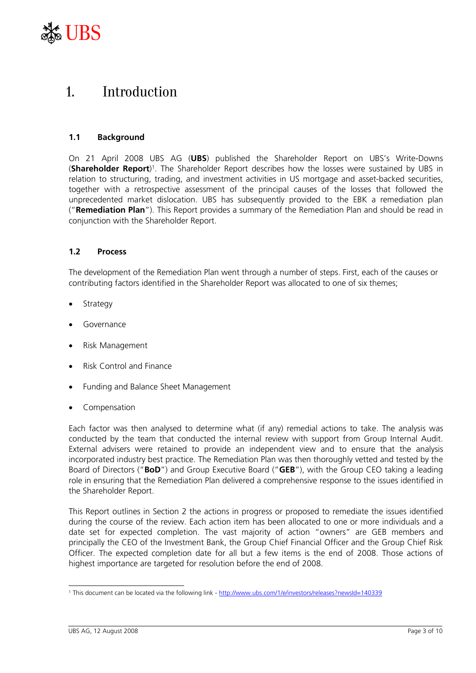

### 1. Introduction

#### **1.1 Background**

On 21 April 2008 UBS AG (**UBS**) published the Shareholder Report on UBS's Write-Downs (**Shareholder Report**) 1. The Shareholder Report describes how the losses were sustained by UBS in relation to structuring, trading, and investment activities in US mortgage and asset-backed securities, together with a retrospective assessment of the principal causes of the losses that followed the unprecedented market dislocation. UBS has subsequently provided to the EBK a remediation plan ("**Remediation Plan**"). This Report provides a summary of the Remediation Plan and should be read in conjunction with the Shareholder Report.

#### **1.2 Process**

The development of the Remediation Plan went through a number of steps. First, each of the causes or contributing factors identified in the Shareholder Report was allocated to one of six themes;

- **Strategy**
- Governance
- Risk Management
- Risk Control and Finance
- Funding and Balance Sheet Management
- Compensation

Each factor was then analysed to determine what (if any) remedial actions to take. The analysis was conducted by the team that conducted the internal review with support from Group Internal Audit. External advisers were retained to provide an independent view and to ensure that the analysis incorporated industry best practice. The Remediation Plan was then thoroughly vetted and tested by the Board of Directors ("**BoD**") and Group Executive Board ("**GEB**"), with the Group CEO taking a leading role in ensuring that the Remediation Plan delivered a comprehensive response to the issues identified in the Shareholder Report.

This Report outlines in Section 2 the actions in progress or proposed to remediate the issues identified during the course of the review. Each action item has been allocated to one or more individuals and a date set for expected completion. The vast majority of action "owners" are GEB members and principally the CEO of the Investment Bank, the Group Chief Financial Officer and the Group Chief Risk Officer. The expected completion date for all but a few items is the end of 2008. Those actions of highest importance are targeted for resolution before the end of 2008.

 $\overline{a}$ <sup>1</sup> This document can be located via the following link - http://www.ubs.com/1/e/investors/releases?newsId=140339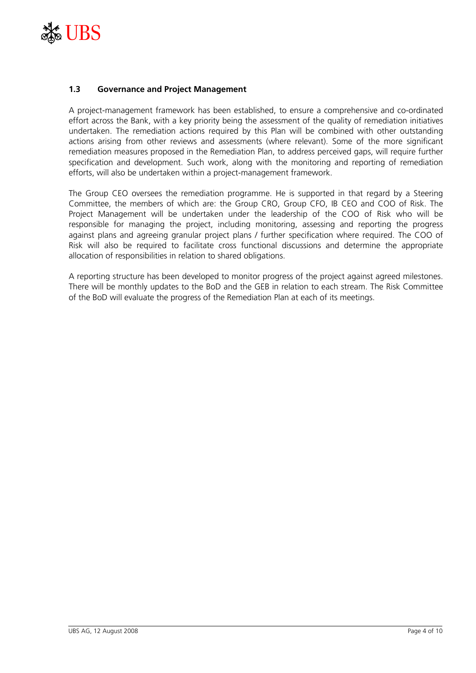

#### **1.3 Governance and Project Management**

A project-management framework has been established, to ensure a comprehensive and co-ordinated effort across the Bank, with a key priority being the assessment of the quality of remediation initiatives undertaken. The remediation actions required by this Plan will be combined with other outstanding actions arising from other reviews and assessments (where relevant). Some of the more significant remediation measures proposed in the Remediation Plan, to address perceived gaps, will require further specification and development. Such work, along with the monitoring and reporting of remediation efforts, will also be undertaken within a project-management framework.

The Group CEO oversees the remediation programme. He is supported in that regard by a Steering Committee, the members of which are: the Group CRO, Group CFO, IB CEO and COO of Risk. The Project Management will be undertaken under the leadership of the COO of Risk who will be responsible for managing the project, including monitoring, assessing and reporting the progress against plans and agreeing granular project plans / further specification where required. The COO of Risk will also be required to facilitate cross functional discussions and determine the appropriate allocation of responsibilities in relation to shared obligations.

A reporting structure has been developed to monitor progress of the project against agreed milestones. There will be monthly updates to the BoD and the GEB in relation to each stream. The Risk Committee of the BoD will evaluate the progress of the Remediation Plan at each of its meetings.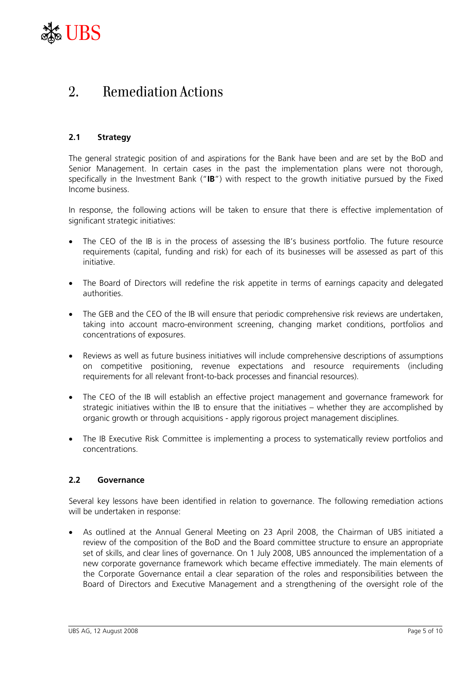

## 2. Remediation Actions

#### **2.1 Strategy**

The general strategic position of and aspirations for the Bank have been and are set by the BoD and Senior Management. In certain cases in the past the implementation plans were not thorough, specifically in the Investment Bank ("**IB**") with respect to the growth initiative pursued by the Fixed Income business.

In response, the following actions will be taken to ensure that there is effective implementation of significant strategic initiatives:

- The CEO of the IB is in the process of assessing the IB's business portfolio. The future resource requirements (capital, funding and risk) for each of its businesses will be assessed as part of this initiative.
- The Board of Directors will redefine the risk appetite in terms of earnings capacity and delegated authorities.
- The GEB and the CEO of the IB will ensure that periodic comprehensive risk reviews are undertaken, taking into account macro-environment screening, changing market conditions, portfolios and concentrations of exposures.
- Reviews as well as future business initiatives will include comprehensive descriptions of assumptions on competitive positioning, revenue expectations and resource requirements (including requirements for all relevant front-to-back processes and financial resources).
- The CEO of the IB will establish an effective project management and governance framework for strategic initiatives within the IB to ensure that the initiatives – whether they are accomplished by organic growth or through acquisitions - apply rigorous project management disciplines.
- The IB Executive Risk Committee is implementing a process to systematically review portfolios and concentrations.

#### **2.2 Governance**

Several key lessons have been identified in relation to governance. The following remediation actions will be undertaken in response:

• As outlined at the Annual General Meeting on 23 April 2008, the Chairman of UBS initiated a review of the composition of the BoD and the Board committee structure to ensure an appropriate set of skills, and clear lines of governance. On 1 July 2008, UBS announced the implementation of a new corporate governance framework which became effective immediately. The main elements of the Corporate Governance entail a clear separation of the roles and responsibilities between the Board of Directors and Executive Management and a strengthening of the oversight role of the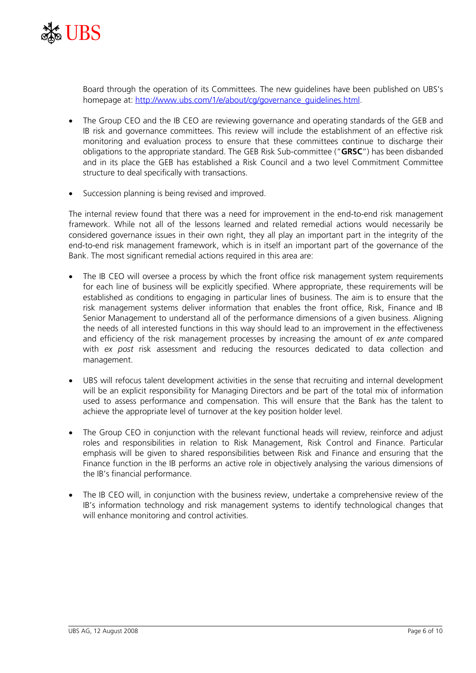

Board through the operation of its Committees. The new guidelines have been published on UBS's homepage at: http://www.ubs.com/1/e/about/cg/governance\_guidelines.html.

- The Group CEO and the IB CEO are reviewing governance and operating standards of the GEB and IB risk and governance committees. This review will include the establishment of an effective risk monitoring and evaluation process to ensure that these committees continue to discharge their obligations to the appropriate standard. The GEB Risk Sub-committee ("**GRSC**") has been disbanded and in its place the GEB has established a Risk Council and a two level Commitment Committee structure to deal specifically with transactions.
- Succession planning is being revised and improved.

The internal review found that there was a need for improvement in the end-to-end risk management framework. While not all of the lessons learned and related remedial actions would necessarily be considered governance issues in their own right, they all play an important part in the integrity of the end-to-end risk management framework, which is in itself an important part of the governance of the Bank. The most significant remedial actions required in this area are:

- The IB CEO will oversee a process by which the front office risk management system requirements for each line of business will be explicitly specified. Where appropriate, these requirements will be established as conditions to engaging in particular lines of business. The aim is to ensure that the risk management systems deliver information that enables the front office, Risk, Finance and IB Senior Management to understand all of the performance dimensions of a given business. Aligning the needs of all interested functions in this way should lead to an improvement in the effectiveness and efficiency of the risk management processes by increasing the amount of *ex ante* compared with *ex post* risk assessment and reducing the resources dedicated to data collection and management.
- UBS will refocus talent development activities in the sense that recruiting and internal development will be an explicit responsibility for Managing Directors and be part of the total mix of information used to assess performance and compensation. This will ensure that the Bank has the talent to achieve the appropriate level of turnover at the key position holder level.
- The Group CEO in conjunction with the relevant functional heads will review, reinforce and adjust roles and responsibilities in relation to Risk Management, Risk Control and Finance. Particular emphasis will be given to shared responsibilities between Risk and Finance and ensuring that the Finance function in the IB performs an active role in objectively analysing the various dimensions of the IB's financial performance.
- The IB CEO will, in conjunction with the business review, undertake a comprehensive review of the IB's information technology and risk management systems to identify technological changes that will enhance monitoring and control activities.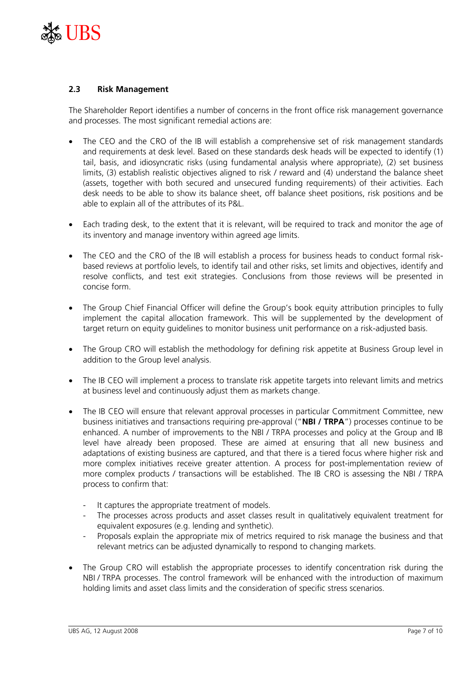

#### **2.3 Risk Management**

The Shareholder Report identifies a number of concerns in the front office risk management governance and processes. The most significant remedial actions are:

- The CEO and the CRO of the IB will establish a comprehensive set of risk management standards and requirements at desk level. Based on these standards desk heads will be expected to identify (1) tail, basis, and idiosyncratic risks (using fundamental analysis where appropriate), (2) set business limits, (3) establish realistic objectives aligned to risk / reward and (4) understand the balance sheet (assets, together with both secured and unsecured funding requirements) of their activities. Each desk needs to be able to show its balance sheet, off balance sheet positions, risk positions and be able to explain all of the attributes of its P&L.
- Each trading desk, to the extent that it is relevant, will be required to track and monitor the age of its inventory and manage inventory within agreed age limits.
- The CEO and the CRO of the IB will establish a process for business heads to conduct formal riskbased reviews at portfolio levels, to identify tail and other risks, set limits and objectives, identify and resolve conflicts, and test exit strategies. Conclusions from those reviews will be presented in concise form.
- The Group Chief Financial Officer will define the Group's book equity attribution principles to fully implement the capital allocation framework. This will be supplemented by the development of target return on equity guidelines to monitor business unit performance on a risk-adjusted basis.
- The Group CRO will establish the methodology for defining risk appetite at Business Group level in addition to the Group level analysis.
- The IB CEO will implement a process to translate risk appetite targets into relevant limits and metrics at business level and continuously adjust them as markets change.
- The IB CEO will ensure that relevant approval processes in particular Commitment Committee, new business initiatives and transactions requiring pre-approval ("**NBI / TRPA**") processes continue to be enhanced. A number of improvements to the NBI / TRPA processes and policy at the Group and IB level have already been proposed. These are aimed at ensuring that all new business and adaptations of existing business are captured, and that there is a tiered focus where higher risk and more complex initiatives receive greater attention. A process for post-implementation review of more complex products / transactions will be established. The IB CRO is assessing the NBI / TRPA process to confirm that:
	- It captures the appropriate treatment of models.
	- The processes across products and asset classes result in qualitatively equivalent treatment for equivalent exposures (e.g. lending and synthetic).
	- Proposals explain the appropriate mix of metrics required to risk manage the business and that relevant metrics can be adjusted dynamically to respond to changing markets.
- The Group CRO will establish the appropriate processes to identify concentration risk during the NBI / TRPA processes. The control framework will be enhanced with the introduction of maximum holding limits and asset class limits and the consideration of specific stress scenarios.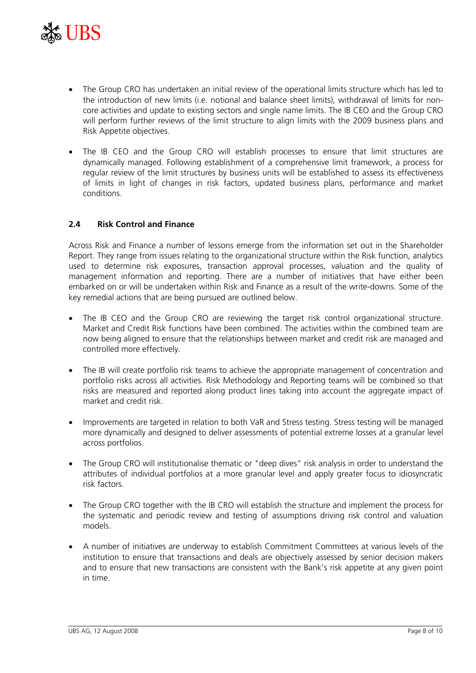

- The Group CRO has undertaken an initial review of the operational limits structure which has led to the introduction of new limits (i.e. notional and balance sheet limits), withdrawal of limits for noncore activities and update to existing sectors and single name limits. The IB CEO and the Group CRO will perform further reviews of the limit structure to align limits with the 2009 business plans and Risk Appetite objectives.
- The IB CEO and the Group CRO will establish processes to ensure that limit structures are dynamically managed. Following establishment of a comprehensive limit framework, a process for regular review of the limit structures by business units will be established to assess its effectiveness of limits in light of changes in risk factors, updated business plans, performance and market conditions.

#### **2.4 Risk Control and Finance**

Across Risk and Finance a number of lessons emerge from the information set out in the Shareholder Report. They range from issues relating to the organizational structure within the Risk function, analytics used to determine risk exposures, transaction approval processes, valuation and the quality of management information and reporting. There are a number of initiatives that have either been embarked on or will be undertaken within Risk and Finance as a result of the write-downs. Some of the key remedial actions that are being pursued are outlined below.

- The IB CEO and the Group CRO are reviewing the target risk control organizational structure. Market and Credit Risk functions have been combined. The activities within the combined team are now being aligned to ensure that the relationships between market and credit risk are managed and controlled more effectively.
- The IB will create portfolio risk teams to achieve the appropriate management of concentration and portfolio risks across all activities. Risk Methodology and Reporting teams will be combined so that risks are measured and reported along product lines taking into account the aggregate impact of market and credit risk.
- Improvements are targeted in relation to both VaR and Stress testing. Stress testing will be managed more dynamically and designed to deliver assessments of potential extreme losses at a granular level across portfolios.
- The Group CRO will institutionalise thematic or "deep dives" risk analysis in order to understand the attributes of individual portfolios at a more granular level and apply greater focus to idiosyncratic risk factors.
- The Group CRO together with the IB CRO will establish the structure and implement the process for the systematic and periodic review and testing of assumptions driving risk control and valuation models.
- A number of initiatives are underway to establish Commitment Committees at various levels of the institution to ensure that transactions and deals are objectively assessed by senior decision makers and to ensure that new transactions are consistent with the Bank's risk appetite at any given point in time.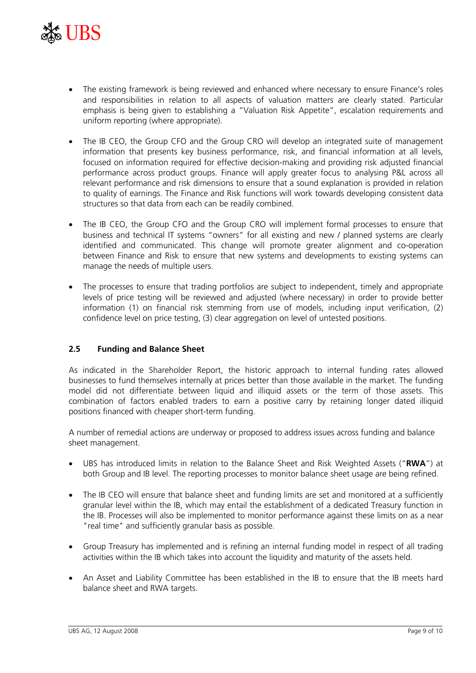

- The existing framework is being reviewed and enhanced where necessary to ensure Finance's roles and responsibilities in relation to all aspects of valuation matters are clearly stated. Particular emphasis is being given to establishing a "Valuation Risk Appetite", escalation requirements and uniform reporting (where appropriate).
- The IB CEO, the Group CFO and the Group CRO will develop an integrated suite of management information that presents key business performance, risk, and financial information at all levels, focused on information required for effective decision-making and providing risk adjusted financial performance across product groups. Finance will apply greater focus to analysing P&L across all relevant performance and risk dimensions to ensure that a sound explanation is provided in relation to quality of earnings. The Finance and Risk functions will work towards developing consistent data structures so that data from each can be readily combined.
- The IB CEO, the Group CFO and the Group CRO will implement formal processes to ensure that business and technical IT systems "owners" for all existing and new / planned systems are clearly identified and communicated. This change will promote greater alignment and co-operation between Finance and Risk to ensure that new systems and developments to existing systems can manage the needs of multiple users.
- The processes to ensure that trading portfolios are subject to independent, timely and appropriate levels of price testing will be reviewed and adjusted (where necessary) in order to provide better information (1) on financial risk stemming from use of models, including input verification, (2) confidence level on price testing, (3) clear aggregation on level of untested positions.

#### **2.5 Funding and Balance Sheet**

As indicated in the Shareholder Report, the historic approach to internal funding rates allowed businesses to fund themselves internally at prices better than those available in the market. The funding model did not differentiate between liquid and illiquid assets or the term of those assets. This combination of factors enabled traders to earn a positive carry by retaining longer dated illiquid positions financed with cheaper short-term funding.

A number of remedial actions are underway or proposed to address issues across funding and balance sheet management.

- UBS has introduced limits in relation to the Balance Sheet and Risk Weighted Assets ("**RWA**") at both Group and IB level. The reporting processes to monitor balance sheet usage are being refined.
- The IB CEO will ensure that balance sheet and funding limits are set and monitored at a sufficiently granular level within the IB, which may entail the establishment of a dedicated Treasury function in the IB. Processes will also be implemented to monitor performance against these limits on as a near "real time" and sufficiently granular basis as possible.
- Group Treasury has implemented and is refining an internal funding model in respect of all trading activities within the IB which takes into account the liquidity and maturity of the assets held.
- An Asset and Liability Committee has been established in the IB to ensure that the IB meets hard balance sheet and RWA targets.